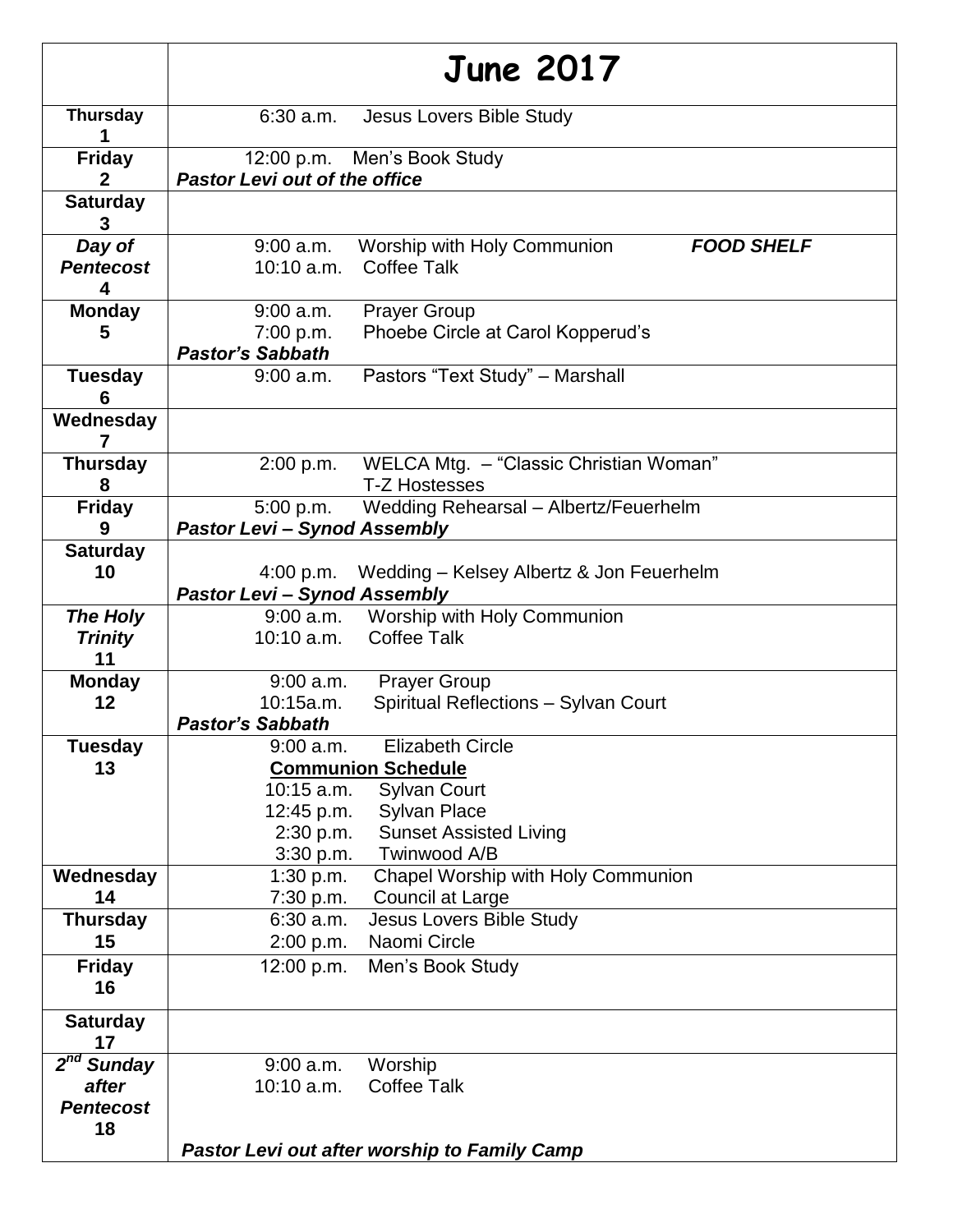|                              | <b>June 2017</b>                                                                             |  |  |
|------------------------------|----------------------------------------------------------------------------------------------|--|--|
| <b>Thursday</b>              | $6:30$ a.m.<br>Jesus Lovers Bible Study                                                      |  |  |
| <b>Friday</b>                | 12:00 p.m. Men's Book Study                                                                  |  |  |
|                              | <b>Pastor Levi out of the office</b>                                                         |  |  |
| <b>Saturday</b><br>3         |                                                                                              |  |  |
| Day of                       | Worship with Holy Communion<br>$9:00$ a.m.<br><b>FOOD SHELF</b>                              |  |  |
| <b>Pentecost</b><br>4        | <b>Coffee Talk</b><br>$10:10$ a.m.                                                           |  |  |
| <b>Monday</b>                | <b>Prayer Group</b><br>9:00 a.m.                                                             |  |  |
| 5                            | 7:00 p.m.<br>Phoebe Circle at Carol Kopperud's                                               |  |  |
|                              | <b>Pastor's Sabbath</b>                                                                      |  |  |
| <b>Tuesday</b><br>6          | Pastors "Text Study" - Marshall<br>$9:00$ a.m.                                               |  |  |
| Wednesday                    |                                                                                              |  |  |
| <b>Thursday</b>              | WELCA Mtg. - "Classic Christian Woman"<br>2:00 p.m.                                          |  |  |
| 8                            | <b>T-Z Hostesses</b>                                                                         |  |  |
| <b>Friday</b>                | Wedding Rehearsal - Albertz/Feuerhelm<br>5:00 p.m.                                           |  |  |
| 9                            | <b>Pastor Levi - Synod Assembly</b>                                                          |  |  |
| <b>Saturday</b>              |                                                                                              |  |  |
| 10                           | 4:00 p.m.<br>Wedding - Kelsey Albertz & Jon Feuerhelm<br><b>Pastor Levi - Synod Assembly</b> |  |  |
| The Holy                     | 9:00 a.m. Worship with Holy Communion                                                        |  |  |
| <b>Trinity</b><br>11         | <b>Coffee Talk</b><br>10:10 a.m.                                                             |  |  |
| <b>Monday</b>                | $9:00$ a.m.<br><b>Prayer Group</b>                                                           |  |  |
| 12                           | 10:15a.m.<br>Spiritual Reflections - Sylvan Court                                            |  |  |
|                              | <b>Pastor's Sabbath</b>                                                                      |  |  |
| <b>Tuesday</b>               | <b>Elizabeth Circle</b><br>$9:00$ a.m.                                                       |  |  |
| 13                           | <b>Communion Schedule</b>                                                                    |  |  |
|                              | <b>Sylvan Court</b><br>$10:15$ a.m.                                                          |  |  |
|                              | <b>Sylvan Place</b><br>12:45 p.m.<br><b>Sunset Assisted Living</b><br>2:30 p.m.              |  |  |
|                              | Twinwood A/B<br>3:30 p.m.                                                                    |  |  |
| Wednesday                    | Chapel Worship with Holy Communion<br>1:30 p.m.                                              |  |  |
| 14                           | Council at Large<br>7:30 p.m.                                                                |  |  |
| <b>Thursday</b>              | $6:30$ a.m.<br>Jesus Lovers Bible Study                                                      |  |  |
| 15                           | 2:00 p.m.<br>Naomi Circle                                                                    |  |  |
| <b>Friday</b><br>16          | 12:00 p.m.<br>Men's Book Study                                                               |  |  |
| <b>Saturday</b>              |                                                                                              |  |  |
| 17<br>2 <sup>nd</sup> Sunday |                                                                                              |  |  |
| after                        | $9:00$ a.m.<br>Worship<br>10:10 a.m.<br><b>Coffee Talk</b>                                   |  |  |
| <b>Pentecost</b>             |                                                                                              |  |  |
| 18                           |                                                                                              |  |  |
|                              | Pastor Levi out after worship to Family Camp                                                 |  |  |